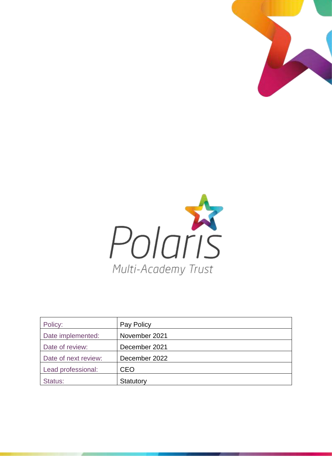



| Policy:              | Pay Policy    |
|----------------------|---------------|
| Date implemented:    | November 2021 |
| Date of review:      | December 2021 |
| Date of next review: | December 2022 |
| Lead professional:   | <b>CEO</b>    |
| Status:              | Statutory     |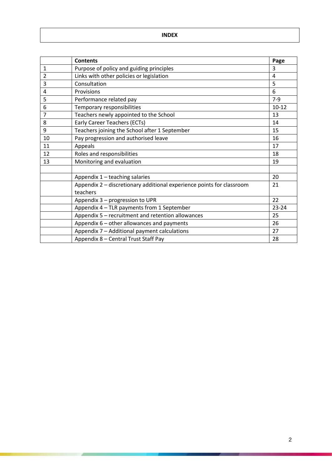**INDEX**

|                | <b>Contents</b>                                                       | Page      |
|----------------|-----------------------------------------------------------------------|-----------|
| $\mathbf{1}$   | Purpose of policy and guiding principles                              | 3         |
| $\overline{2}$ | Links with other policies or legislation                              | 4         |
| 3              | Consultation                                                          | 5         |
| 4              | Provisions                                                            | 6         |
| 5              | Performance related pay                                               | $7-9$     |
| 6              | Temporary responsibilities                                            | $10 - 12$ |
| $\overline{7}$ | Teachers newly appointed to the School                                | 13        |
| 8              | Early Career Teachers (ECTs)                                          | 14        |
| 9              | Teachers joining the School after 1 September                         | 15        |
| 10             | Pay progression and authorised leave                                  | 16        |
| 11             | Appeals                                                               | 17        |
| 12             | Roles and responsibilities                                            | 18        |
| 13             | Monitoring and evaluation                                             | 19        |
|                |                                                                       |           |
|                | Appendix 1 - teaching salaries                                        | 20        |
|                | Appendix 2 - discretionary additional experience points for classroom | 21        |
|                | teachers                                                              |           |
|                | Appendix 3 - progression to UPR                                       | 22        |
|                | Appendix 4 - TLR payments from 1 September                            | 23-24     |
|                | Appendix 5 - recruitment and retention allowances                     | 25        |
|                | Appendix 6 - other allowances and payments                            | 26        |
|                | Appendix 7 - Additional payment calculations                          | 27        |
|                | Appendix 8 - Central Trust Staff Pay                                  | 28        |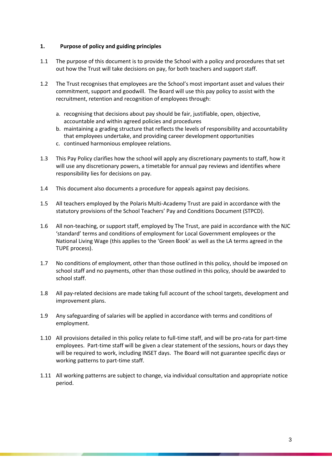### **1. Purpose of policy and guiding principles**

- 1.1 The purpose of this document is to provide the School with a policy and procedures that set out how the Trust will take decisions on pay, for both teachers and support staff.
- 1.2 The Trust recognises that employees are the School's most important asset and values their commitment, support and goodwill. The Board will use this pay policy to assist with the recruitment, retention and recognition of employees through:
	- a. recognising that decisions about pay should be fair, justifiable, open, objective, accountable and within agreed policies and procedures
	- b. maintaining a grading structure that reflects the levels of responsibility and accountability that employees undertake, and providing career development opportunities
	- c. continued harmonious employee relations.
- 1.3 This Pay Policy clarifies how the school will apply any discretionary payments to staff, how it will use any discretionary powers, a timetable for annual pay reviews and identifies where responsibility lies for decisions on pay.
- 1.4 This document also documents a procedure for appeals against pay decisions.
- 1.5 All teachers employed by the Polaris Multi-Academy Trust are paid in accordance with the statutory provisions of the School Teachers' Pay and Conditions Document (STPCD).
- 1.6 All non-teaching, or support staff, employed by The Trust, are paid in accordance with the NJC 'standard' terms and conditions of employment for Local Government employees or the National Living Wage (this applies to the 'Green Book' as well as the LA terms agreed in the TUPE process).
- 1.7 No conditions of employment, other than those outlined in this policy, should be imposed on school staff and no payments, other than those outlined in this policy, should be awarded to school staff.
- 1.8 All pay-related decisions are made taking full account of the school targets, development and improvement plans.
- 1.9 Any safeguarding of salaries will be applied in accordance with terms and conditions of employment.
- 1.10 All provisions detailed in this policy relate to full-time staff, and will be pro-rata for part-time employees. Part-time staff will be given a clear statement of the sessions, hours or days they will be required to work, including INSET days. The Board will not guarantee specific days or working patterns to part-time staff.
- 1.11 All working patterns are subject to change, via individual consultation and appropriate notice period.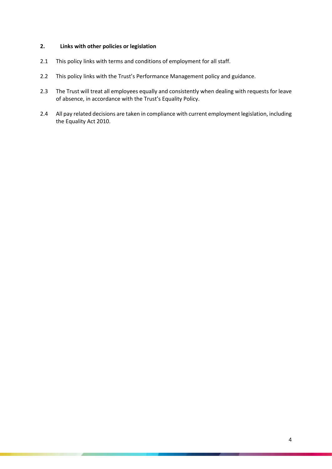# **2. Links with other policies or legislation**

- 2.1 This policy links with terms and conditions of employment for all staff.
- 2.2 This policy links with the Trust's Performance Management policy and guidance.
- 2.3 The Trust will treat all employees equally and consistently when dealing with requests for leave of absence, in accordance with the Trust's Equality Policy.
- 2.4 All pay related decisions are taken in compliance with current employment legislation, including the Equality Act 2010.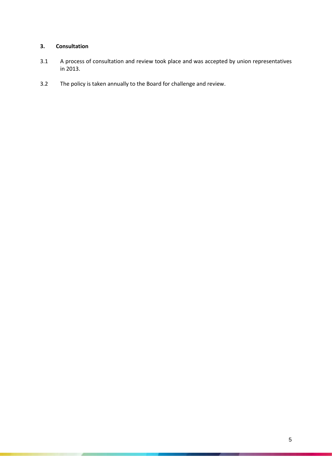# **3. Consultation**

- 3.1 A process of consultation and review took place and was accepted by union representatives in 2013.
- 3.2 The policy is taken annually to the Board for challenge and review.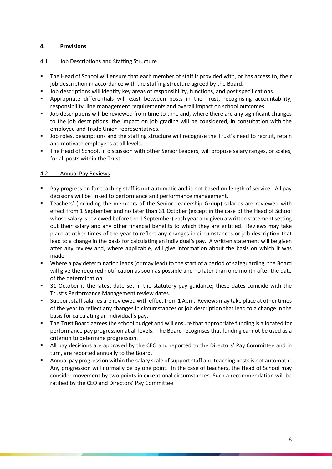## **4. Provisions**

#### 4.1 Job Descriptions and Staffing Structure

- The Head of School will ensure that each member of staff is provided with, or has access to, their job description in accordance with the staffing structure agreed by the Board.
- **•** Job descriptions will identify key areas of responsibility, functions, and post specifications.
- Appropriate differentials will exist between posts in the Trust, recognising accountability, responsibility, line management requirements and overall impact on school outcomes.
- Job descriptions will be reviewed from time to time and, where there are any significant changes to the job descriptions, the impact on job grading will be considered, in consultation with the employee and Trade Union representatives.
- Job roles, descriptions and the staffing structure will recognise the Trust's need to recruit, retain and motivate employees at all levels.
- **The Head of School, in discussion with other Senior Leaders, will propose salary ranges, or scales,** for all posts within the Trust.

# 4.2 Annual Pay Reviews

- Pay progression for teaching staff is not automatic and is not based on length of service. All pay decisions will be linked to performance and performance management.
- **■** Teachers' (including the members of the Senior Leadership Group) salaries are reviewed with effect from 1 September and no later than 31 October (except in the case of the Head of School whose salary is reviewed before the 1 September) each year and given a written statement setting out their salary and any other financial benefits to which they are entitled. Reviews may take place at other times of the year to reflect any changes in circumstances or job description that lead to a change in the basis for calculating an individual's pay. A written statement will be given after any review and, where applicable, will give information about the basis on which it was made.
- Where a pay determination leads (or may lead) to the start of a period of safeguarding, the Board will give the required notification as soon as possible and no later than one month after the date of the determination.
- 31 October is the latest date set in the statutory pay guidance; these dates coincide with the Trust's Performance Management review dates.
- Support staff salaries are reviewed with effect from 1 April. Reviews may take place at other times of the year to reflect any changes in circumstances or job description that lead to a change in the basis for calculating an individual's pay.
- The Trust Board agrees the school budget and will ensure that appropriate funding is allocated for performance pay progression at all levels. The Board recognises that funding cannot be used as a criterion to determine progression.
- All pay decisions are approved by the CEO and reported to the Directors' Pay Committee and in turn, are reported annually to the Board.
- Annual pay progression within the salary scale of support staff and teaching posts is not automatic. Any progression will normally be by one point. In the case of teachers, the Head of School may consider movement by two points in exceptional circumstances. Such a recommendation will be ratified by the CEO and Directors' Pay Committee.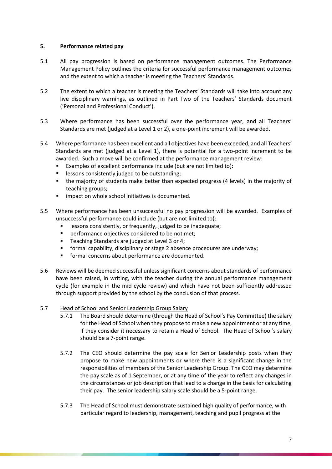### **5. Performance related pay**

- 5.1 All pay progression is based on performance management outcomes. The Performance Management Policy outlines the criteria for successful performance management outcomes and the extent to which a teacher is meeting the Teachers' Standards.
- 5.2 The extent to which a teacher is meeting the Teachers' Standards will take into account any live disciplinary warnings, as outlined in Part Two of the Teachers' Standards document ('Personal and Professional Conduct').
- 5.3 Where performance has been successful over the performance year, and all Teachers' Standards are met (judged at a Level 1 or 2), a one-point increment will be awarded.
- 5.4 Where performance has been excellent and all objectives have been exceeded, and all Teachers' Standards are met (judged at a Level 1), there is potential for a two-point increment to be awarded. Such a move will be confirmed at the performance management review:
	- Examples of excellent performance include (but are not limited to):
	- lessons consistently judged to be outstanding;
	- the majority of students make better than expected progress (4 levels) in the majority of teaching groups;
	- impact on whole school initiatives is documented.
- 5.5 Where performance has been unsuccessful no pay progression will be awarded. Examples of unsuccessful performance could include (but are not limited to):
	- lessons consistently, or frequently, judged to be inadequate;
	- **•** performance objectives considered to be not met;
	- Teaching Standards are judged at Level 3 or 4;
	- **EXP** formal capability, disciplinary or stage 2 absence procedures are underway;
	- formal concerns about performance are documented.
- 5.6 Reviews will be deemed successful unless significant concerns about standards of performance have been raised, in writing, with the teacher during the annual performance management cycle (for example in the mid cycle review) and which have not been sufficiently addressed through support provided by the school by the conclusion of that process.
- 5.7 Head of School and Senior Leadership Group Salary
	- 5.7.1 The Board should determine (through the Head of School's Pay Committee) the salary for the Head of School when they propose to make a new appointment or at any time, if they consider it necessary to retain a Head of School. The Head of School's salary should be a 7-point range.
	- 5.7.2 The CEO should determine the pay scale for Senior Leadership posts when they propose to make new appointments or where there is a significant change in the responsibilities of members of the Senior Leadership Group. The CEO may determine the pay scale as of 1 September, or at any time of the year to reflect any changes in the circumstances or job description that lead to a change in the basis for calculating their pay. The senior leadership salary scale should be a 5-point range.
	- 5.7.3 The Head of School must demonstrate sustained high quality of performance, with particular regard to leadership, management, teaching and pupil progress at the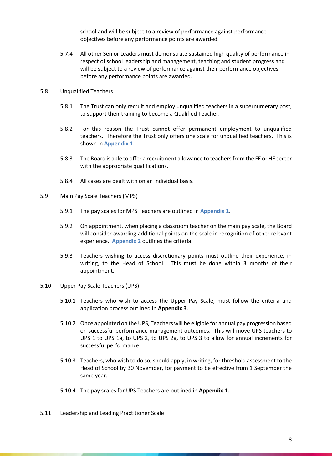school and will be subject to a review of performance against performance objectives before any performance points are awarded.

5.7.4 All other Senior Leaders must demonstrate sustained high quality of performance in respect of school leadership and management, teaching and student progress and will be subject to a review of performance against their performance objectives before any performance points are awarded.

#### 5.8 Unqualified Teachers

- 5.8.1 The Trust can only recruit and employ unqualified teachers in a supernumerary post, to support their training to become a Qualified Teacher.
- 5.8.2 For this reason the Trust cannot offer permanent employment to unqualified teachers. Therefore the Trust only offers one scale for unqualified teachers. This is shown in **Appendix 1**.
- 5.8.3 The Board is able to offer a recruitment allowance to teachers from the FE or HE sector with the appropriate qualifications.
- 5.8.4 All cases are dealt with on an individual basis.

#### 5.9 Main Pay Scale Teachers (MPS)

- 5.9.1 The pay scales for MPS Teachers are outlined in **Appendix 1**.
- 5.9.2 On appointment, when placing a classroom teacher on the main pay scale, the Board will consider awarding additional points on the scale in recognition of other relevant experience. **Appendix 2** outlines the criteria.
- 5.9.3 Teachers wishing to access discretionary points must outline their experience, in writing, to the Head of School. This must be done within 3 months of their appointment.

#### 5.10 Upper Pay Scale Teachers (UPS)

- 5.10.1 Teachers who wish to access the Upper Pay Scale, must follow the criteria and application process outlined in **Appendix 3**.
- 5.10.2 Once appointed on the UPS, Teachers will be eligible for annual pay progression based on successful performance management outcomes. This will move UPS teachers to UPS 1 to UPS 1a, to UPS 2, to UPS 2a, to UPS 3 to allow for annual increments for successful performance.
- 5.10.3 Teachers, who wish to do so, should apply, in writing, for threshold assessment to the Head of School by 30 November, for payment to be effective from 1 September the same year.
- 5.10.4 The pay scales for UPS Teachers are outlined in **Appendix 1**.

#### 5.11 Leadership and Leading Practitioner Scale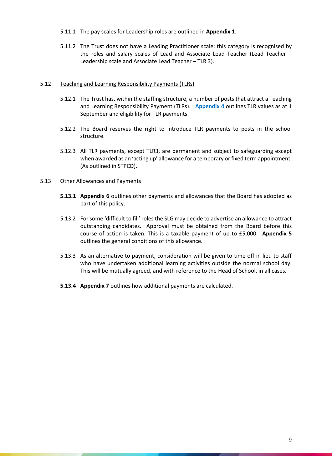- 5.11.1 The pay scales for Leadership roles are outlined in **Appendix 1**.
- 5.11.2 The Trust does not have a Leading Practitioner scale; this category is recognised by the roles and salary scales of Lead and Associate Lead Teacher (Lead Teacher – Leadership scale and Associate Lead Teacher – TLR 3).

#### 5.12 Teaching and Learning Responsibility Payments (TLRs)

- 5.12.1 The Trust has, within the staffing structure, a number of posts that attract a Teaching and Learning Responsibility Payment (TLRs). **Appendix 4** outlines TLR values as at 1 September and eligibility for TLR payments.
- 5.12.2 The Board reserves the right to introduce TLR payments to posts in the school structure.
- 5.12.3 All TLR payments, except TLR3, are permanent and subject to safeguarding except when awarded as an 'acting up' allowance for a temporary or fixed term appointment. (As outlined in STPCD).

#### 5.13 Other Allowances and Payments

- **5.13.1 Appendix 6** outlines other payments and allowances that the Board has adopted as part of this policy.
- 5.13.2 For some 'difficult to fill' roles the SLG may decide to advertise an allowance to attract outstanding candidates. Approval must be obtained from the Board before this course of action is taken. This is a taxable payment of up to £5,000. **Appendix 5** outlines the general conditions of this allowance.
- 5.13.3 As an alternative to payment, consideration will be given to time off in lieu to staff who have undertaken additional learning activities outside the normal school day. This will be mutually agreed, and with reference to the Head of School, in all cases.
- **5.13.4 Appendix 7** outlines how additional payments are calculated.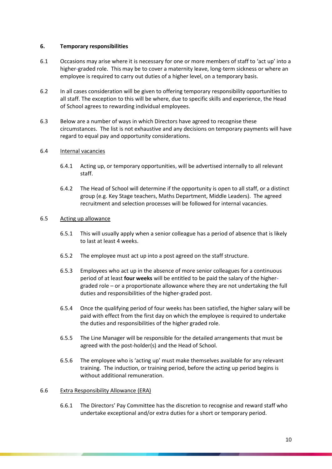#### **6. Temporary responsibilities**

- 6.1 Occasions may arise where it is necessary for one or more members of staff to 'act up' into a higher-graded role. This may be to cover a maternity leave, long-term sickness or where an employee is required to carry out duties of a higher level, on a temporary basis.
- 6.2 In all cases consideration will be given to offering temporary responsibility opportunities to all staff. The exception to this will be where, due to specific skills and experience, the Head of School agrees to rewarding individual employees.
- 6.3 Below are a number of ways in which Directors have agreed to recognise these circumstances. The list is not exhaustive and any decisions on temporary payments will have regard to equal pay and opportunity considerations.

### 6.4 Internal vacancies

- 6.4.1 Acting up, or temporary opportunities, will be advertised internally to all relevant staff.
- 6.4.2 The Head of School will determine if the opportunity is open to all staff, or a distinct group (e.g. Key Stage teachers, Maths Department, Middle Leaders). The agreed recruitment and selection processes will be followed for internal vacancies.

### 6.5 Acting up allowance

- 6.5.1 This will usually apply when a senior colleague has a period of absence that is likely to last at least 4 weeks.
- 6.5.2 The employee must act up into a post agreed on the staff structure.
- 6.5.3 Employees who act up in the absence of more senior colleagues for a continuous period of at least **four weeks** will be entitled to be paid the salary of the highergraded role – or a proportionate allowance where they are not undertaking the full duties and responsibilities of the higher-graded post.
- 6.5.4 Once the qualifying period of four weeks has been satisfied, the higher salary will be paid with effect from the first day on which the employee is required to undertake the duties and responsibilities of the higher graded role.
- 6.5.5 The Line Manager will be responsible for the detailed arrangements that must be agreed with the post-holder(s) and the Head of School.
- 6.5.6 The employee who is 'acting up' must make themselves available for any relevant training. The induction, or training period, before the acting up period begins is without additional remuneration.

#### 6.6 Extra Responsibility Allowance (ERA)

6.6.1 The Directors' Pay Committee has the discretion to recognise and reward staff who undertake exceptional and/or extra duties for a short or temporary period.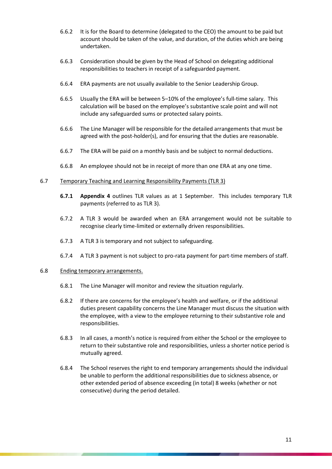- 6.6.2 It is for the Board to determine (delegated to the CEO) the amount to be paid but account should be taken of the value, and duration, of the duties which are being undertaken.
- 6.6.3 Consideration should be given by the Head of School on delegating additional responsibilities to teachers in receipt of a safeguarded payment.
- 6.6.4 ERA payments are not usually available to the Senior Leadership Group.
- 6.6.5 Usually the ERA will be between 5–10% of the employee's full-time salary. This calculation will be based on the employee's substantive scale point and will not include any safeguarded sums or protected salary points.
- 6.6.6 The Line Manager will be responsible for the detailed arrangements that must be agreed with the post-holder(s), and for ensuring that the duties are reasonable.
- 6.6.7 The ERA will be paid on a monthly basis and be subject to normal deductions.
- 6.6.8 An employee should not be in receipt of more than one ERA at any one time.

#### 6.7 Temporary Teaching and Learning Responsibility Payments (TLR 3)

- **6.7.1 Appendix 4** outlines TLR values as at 1 September. This includes temporary TLR payments (referred to as TLR 3).
- 6.7.2 A TLR 3 would be awarded when an ERA arrangement would not be suitable to recognise clearly time-limited or externally driven responsibilities.
- 6.7.3 A TLR 3 is temporary and not subject to safeguarding.
- 6.7.4 A TLR 3 payment is not subject to pro-rata payment for part-time members of staff.

#### 6.8 Ending temporary arrangements.

- 6.8.1 The Line Manager will monitor and review the situation regularly.
- 6.8.2 If there are concerns for the employee's health and welfare, or if the additional duties present capability concerns the Line Manager must discuss the situation with the employee, with a view to the employee returning to their substantive role and responsibilities.
- 6.8.3 In all cases, a month's notice is required from either the School or the employee to return to their substantive role and responsibilities, unless a shorter notice period is mutually agreed.
- 6.8.4 The School reserves the right to end temporary arrangements should the individual be unable to perform the additional responsibilities due to sickness absence, or other extended period of absence exceeding (in total) 8 weeks (whether or not consecutive) during the period detailed.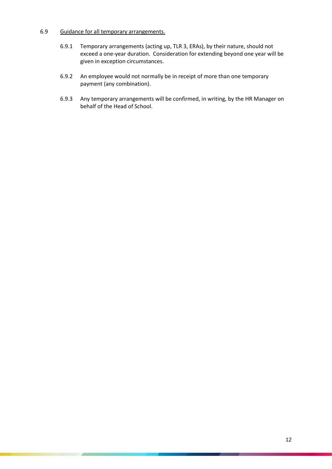#### 6.9 Guidance for all temporary arrangements.

- 6.9.1 Temporary arrangements (acting up, TLR 3, ERAs), by their nature, should not exceed a one-year duration. Consideration for extending beyond one year will be given in exception circumstances.
- 6.9.2 An employee would not normally be in receipt of more than one temporary payment (any combination).
- 6.9.3 Any temporary arrangements will be confirmed, in writing, by the HR Manager on behalf of the Head of School.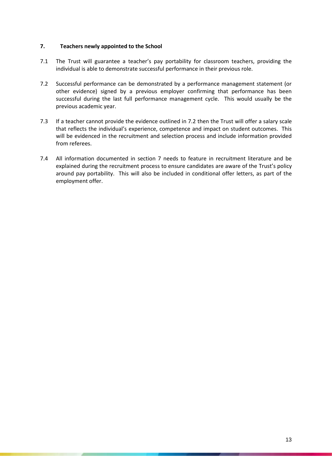### **7. Teachers newly appointed to the School**

- 7.1 The Trust will guarantee a teacher's pay portability for classroom teachers, providing the individual is able to demonstrate successful performance in their previous role.
- 7.2 Successful performance can be demonstrated by a performance management statement (or other evidence) signed by a previous employer confirming that performance has been successful during the last full performance management cycle. This would usually be the previous academic year.
- 7.3 If a teacher cannot provide the evidence outlined in 7.2 then the Trust will offer a salary scale that reflects the individual's experience, competence and impact on student outcomes. This will be evidenced in the recruitment and selection process and include information provided from referees.
- 7.4 All information documented in section 7 needs to feature in recruitment literature and be explained during the recruitment process to ensure candidates are aware of the Trust's policy around pay portability. This will also be included in conditional offer letters, as part of the employment offer.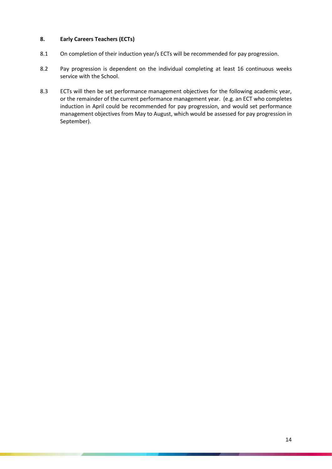# **8. Early Careers Teachers (ECTs)**

- 8.1 On completion of their induction year/s ECTs will be recommended for pay progression.
- 8.2 Pay progression is dependent on the individual completing at least 16 continuous weeks service with the School.
- 8.3 ECTs will then be set performance management objectives for the following academic year, or the remainder of the current performance management year. (e.g. an ECT who completes induction in April could be recommended for pay progression, and would set performance management objectives from May to August, which would be assessed for pay progression in September).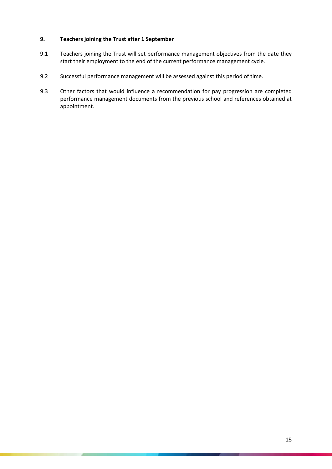### **9. Teachers joining the Trust after 1 September**

- 9.1 Teachers joining the Trust will set performance management objectives from the date they start their employment to the end of the current performance management cycle.
- 9.2 Successful performance management will be assessed against this period of time.
- 9.3 Other factors that would influence a recommendation for pay progression are completed performance management documents from the previous school and references obtained at appointment.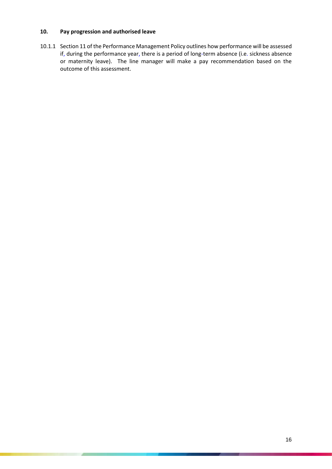# **10. Pay progression and authorised leave**

10.1.1 Section 11 of the Performance Management Policy outlines how performance will be assessed if, during the performance year, there is a period of long-term absence (i.e. sickness absence or maternity leave). The line manager will make a pay recommendation based on the outcome of this assessment.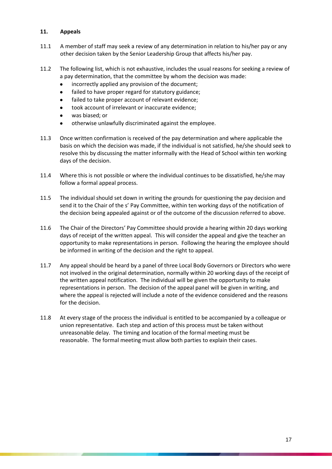## **11. Appeals**

- 11.1 A member of staff may seek a review of any determination in relation to his/her pay or any other decision taken by the Senior Leadership Group that affects his/her pay.
- 11.2 The following list, which is not exhaustive, includes the usual reasons for seeking a review of a pay determination, that the committee by whom the decision was made:
	- incorrectly applied any provision of the document:
	- failed to have proper regard for statutory guidance;
	- failed to take proper account of relevant evidence;
	- took account of irrelevant or inaccurate evidence;
	- was biased; or
	- otherwise unlawfully discriminated against the employee.
- 11.3 Once written confirmation is received of the pay determination and where applicable the basis on which the decision was made, if the individual is not satisfied, he/she should seek to resolve this by discussing the matter informally with the Head of School within ten working days of the decision.
- 11.4 Where this is not possible or where the individual continues to be dissatisfied, he/she may follow a formal appeal process.
- 11.5 The individual should set down in writing the grounds for questioning the pay decision and send it to the Chair of the s' Pay Committee, within ten working days of the notification of the decision being appealed against or of the outcome of the discussion referred to above.
- 11.6 The Chair of the Directors' Pay Committee should provide a hearing within 20 days working days of receipt of the written appeal. This will consider the appeal and give the teacher an opportunity to make representations in person. Following the hearing the employee should be informed in writing of the decision and the right to appeal.
- 11.7 Any appeal should be heard by a panel of three Local Body Governors or Directors who were not involved in the original determination, normally within 20 working days of the receipt of the written appeal notification. The individual will be given the opportunity to make representations in person. The decision of the appeal panel will be given in writing, and where the appeal is rejected will include a note of the evidence considered and the reasons for the decision.
- 11.8 At every stage of the process the individual is entitled to be accompanied by a colleague or union representative. Each step and action of this process must be taken without unreasonable delay. The timing and location of the formal meeting must be reasonable. The formal meeting must allow both parties to explain their cases.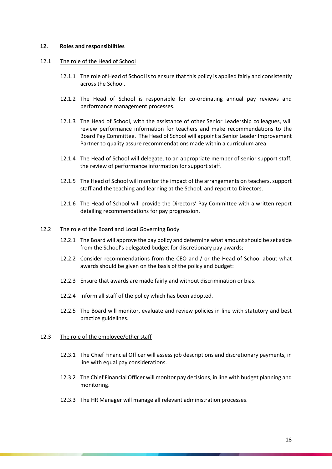#### **12. Roles and responsibilities**

#### 12.1 The role of the Head of School

- 12.1.1 The role of Head of School is to ensure that this policy is applied fairly and consistently across the School.
- 12.1.2 The Head of School is responsible for co-ordinating annual pay reviews and performance management processes.
- 12.1.3 The Head of School, with the assistance of other Senior Leadership colleagues, will review performance information for teachers and make recommendations to the Board Pay Committee. The Head of School will appoint a Senior Leader Improvement Partner to quality assure recommendations made within a curriculum area.
- 12.1.4 The Head of School will delegate, to an appropriate member of senior support staff, the review of performance information for support staff.
- 12.1.5 The Head of School will monitor the impact of the arrangements on teachers, support staff and the teaching and learning at the School, and report to Directors.
- 12.1.6 The Head of School will provide the Directors' Pay Committee with a written report detailing recommendations for pay progression.

#### 12.2 The role of the Board and Local Governing Body

- 12.2.1 The Board will approve the pay policy and determine what amount should be set aside from the School's delegated budget for discretionary pay awards;
- 12.2.2 Consider recommendations from the CEO and / or the Head of School about what awards should be given on the basis of the policy and budget:
- 12.2.3 Ensure that awards are made fairly and without discrimination or bias.
- 12.2.4 Inform all staff of the policy which has been adopted.
- 12.2.5 The Board will monitor, evaluate and review policies in line with statutory and best practice guidelines.

#### 12.3 The role of the employee/other staff

- 12.3.1 The Chief Financial Officer will assess job descriptions and discretionary payments, in line with equal pay considerations.
- 12.3.2 The Chief Financial Officer will monitor pay decisions, in line with budget planning and monitoring.
- 12.3.3 The HR Manager will manage all relevant administration processes.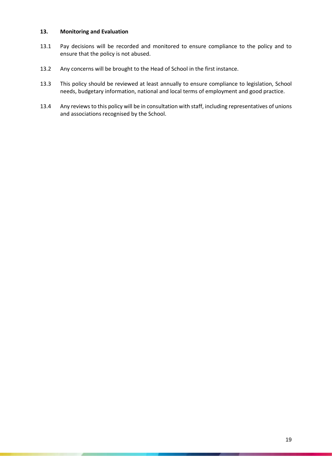#### **13. Monitoring and Evaluation**

- 13.1 Pay decisions will be recorded and monitored to ensure compliance to the policy and to ensure that the policy is not abused.
- 13.2 Any concerns will be brought to the Head of School in the first instance.
- 13.3 This policy should be reviewed at least annually to ensure compliance to legislation, School needs, budgetary information, national and local terms of employment and good practice.
- 13.4 Any reviews to this policy will be in consultation with staff, including representatives of unions and associations recognised by the School.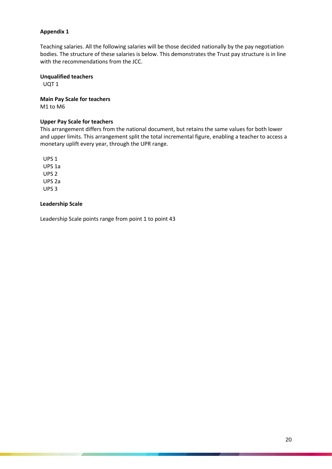Teaching salaries. All the following salaries will be those decided nationally by the pay negotiation bodies. The structure of these salaries is below. This demonstrates the Trust pay structure is in line with the recommendations from the JCC.

# **Unqualified teachers**

UQT 1

**Main Pay Scale for teachers** M1 to M6

### **Upper Pay Scale for teachers**

This arrangement differs from the national document, but retains the same values for both lower and upper limits. This arrangement split the total incremental figure, enabling a teacher to access a monetary uplift every year, through the UPR range.

UPS 1 UPS 1a UPS 2 UPS 2a UPS 3

### **Leadership Scale**

Leadership Scale points range from point 1 to point 43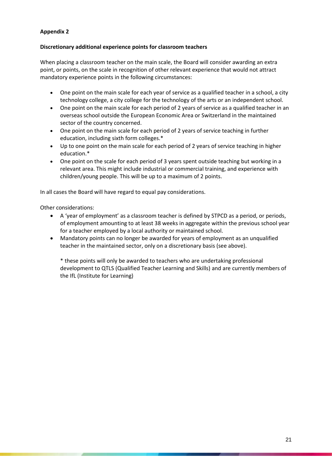# **Discretionary additional experience points for classroom teachers**

When placing a classroom teacher on the main scale, the Board will consider awarding an extra point, or points, on the scale in recognition of other relevant experience that would not attract mandatory experience points in the following circumstances:

- One point on the main scale for each year of service as a qualified teacher in a school, a city technology college, a city college for the technology of the arts or an independent school.
- One point on the main scale for each period of 2 years of service as a qualified teacher in an overseas school outside the European Economic Area or Switzerland in the maintained sector of the country concerned.
- One point on the main scale for each period of 2 years of service teaching in further education, including sixth form colleges.\*
- Up to one point on the main scale for each period of 2 years of service teaching in higher education.\*
- One point on the scale for each period of 3 years spent outside teaching but working in a relevant area. This might include industrial or commercial training, and experience with children/young people. This will be up to a maximum of 2 points.

In all cases the Board will have regard to equal pay considerations.

Other considerations:

- A 'year of employment' as a classroom teacher is defined by STPCD as a period, or periods, of employment amounting to at least 38 weeks in aggregate within the previous school year for a teacher employed by a local authority or maintained school.
- Mandatory points can no longer be awarded for years of employment as an unqualified teacher in the maintained sector, only on a discretionary basis (see above).

\* these points will only be awarded to teachers who are undertaking professional development to QTLS (Qualified Teacher Learning and Skills) and are currently members of the IfL (Institute for Learning)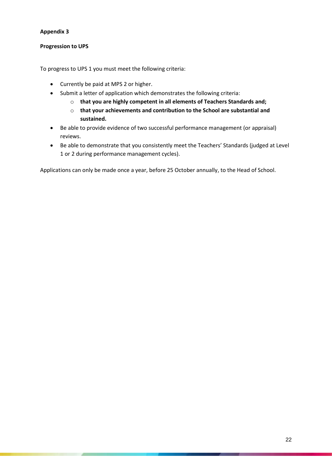# **Progression to UPS**

To progress to UPS 1 you must meet the following criteria:

- Currently be paid at MPS 2 or higher.
- Submit a letter of application which demonstrates the following criteria:
	- o **that you are highly competent in all elements of Teachers Standards and;**
	- o **that your achievements and contribution to the School are substantial and sustained.**
- Be able to provide evidence of two successful performance management (or appraisal) reviews.
- Be able to demonstrate that you consistently meet the Teachers' Standards (judged at Level 1 or 2 during performance management cycles).

Applications can only be made once a year, before 25 October annually, to the Head of School.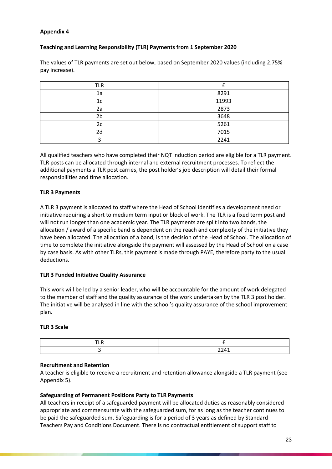# **Teaching and Learning Responsibility (TLR) Payments from 1 September 2020**

The values of TLR payments are set out below, based on September 2020 values (including 2.75% pay increase).

| <b>TLR</b> |       |
|------------|-------|
| 1a         | 8291  |
| 1c         | 11993 |
| 2a         | 2873  |
| 2b         | 3648  |
| 2c         | 5261  |
| 2d         | 7015  |
|            | 2241  |

All qualified teachers who have completed their NQT induction period are eligible for a TLR payment. TLR posts can be allocated through internal and external recruitment processes. To reflect the additional payments a TLR post carries, the post holder's job description will detail their formal responsibilities and time allocation.

# **TLR 3 Payments**

A TLR 3 payment is allocated to staff where the Head of School identifies a development need or initiative requiring a short to medium term input or block of work. The TLR is a fixed term post and will not run longer than one academic year. The TLR payments are split into two bands, the allocation / award of a specific band is dependent on the reach and complexity of the initiative they have been allocated. The allocation of a band, is the decision of the Head of School. The allocation of time to complete the initiative alongside the payment will assessed by the Head of School on a case by case basis. As with other TLRs, this payment is made through PAYE, therefore party to the usual deductions.

# **TLR 3 Funded Initiative Quality Assurance**

This work will be led by a senior leader, who will be accountable for the amount of work delegated to the member of staff and the quality assurance of the work undertaken by the TLR 3 post holder. The initiative will be analysed in line with the school's quality assurance of the school improvement plan.

#### **TLR 3 Scale**

| - |                           |
|---|---------------------------|
|   | วว 11<br>. <del>.</del> . |

# **Recruitment and Retention**

A teacher is eligible to receive a recruitment and retention allowance alongside a TLR payment (see Appendix 5).

# **Safeguarding of Permanent Positions Party to TLR Payments**

All teachers in receipt of a safeguarded payment will be allocated duties as reasonably considered appropriate and commensurate with the safeguarded sum, for as long as the teacher continues to be paid the safeguarded sum. Safeguarding is for a period of 3 years as defined by Standard Teachers Pay and Conditions Document. There is no contractual entitlement of support staff to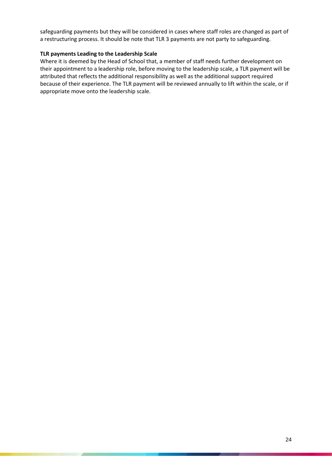safeguarding payments but they will be considered in cases where staff roles are changed as part of a restructuring process. It should be note that TLR 3 payments are not party to safeguarding.

#### **TLR payments Leading to the Leadership Scale**

Where it is deemed by the Head of School that, a member of staff needs further development on their appointment to a leadership role, before moving to the leadership scale, a TLR payment will be attributed that reflects the additional responsibility as well as the additional support required because of their experience. The TLR payment will be reviewed annually to lift within the scale, or if appropriate move onto the leadership scale.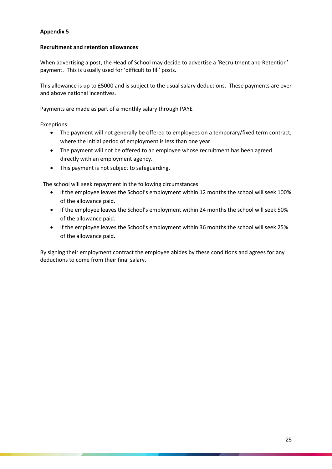#### **Recruitment and retention allowances**

When advertising a post, the Head of School may decide to advertise a 'Recruitment and Retention' payment. This is usually used for 'difficult to fill' posts.

This allowance is up to £5000 and is subject to the usual salary deductions. These payments are over and above national incentives.

Payments are made as part of a monthly salary through PAYE

Exceptions:

- The payment will not generally be offered to employees on a temporary/fixed term contract, where the initial period of employment is less than one year.
- The payment will not be offered to an employee whose recruitment has been agreed directly with an employment agency.
- This payment is not subject to safeguarding.

The school will seek repayment in the following circumstances:

- If the employee leaves the School's employment within 12 months the school will seek 100% of the allowance paid.
- If the employee leaves the School's employment within 24 months the school will seek 50% of the allowance paid.
- If the employee leaves the School's employment within 36 months the school will seek 25% of the allowance paid.

By signing their employment contract the employee abides by these conditions and agrees for any deductions to come from their final salary.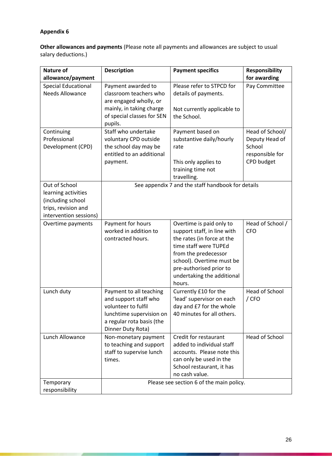**Other allowances and payments** (Please note all payments and allowances are subject to usual salary deductions.)

| <b>Nature of</b>                                                                          | <b>Description</b>                                                                                                                                    | <b>Payment specifics</b>                                                                                                                                                                                   | <b>Responsibility</b>                                          |
|-------------------------------------------------------------------------------------------|-------------------------------------------------------------------------------------------------------------------------------------------------------|------------------------------------------------------------------------------------------------------------------------------------------------------------------------------------------------------------|----------------------------------------------------------------|
| allowance/payment                                                                         |                                                                                                                                                       |                                                                                                                                                                                                            | for awarding                                                   |
| <b>Special Educational</b><br><b>Needs Allowance</b>                                      | Payment awarded to<br>classroom teachers who<br>are engaged wholly, or                                                                                | Please refer to STPCD for<br>details of payments.                                                                                                                                                          | Pay Committee                                                  |
|                                                                                           | mainly, in taking charge<br>of special classes for SEN<br>pupils.                                                                                     | Not currently applicable to<br>the School.                                                                                                                                                                 |                                                                |
| Continuing<br>Professional<br>Development (CPD)                                           | Staff who undertake<br>voluntary CPD outside<br>the school day may be<br>entitled to an additional                                                    | Payment based on<br>substantive daily/hourly<br>rate                                                                                                                                                       | Head of School/<br>Deputy Head of<br>School<br>responsible for |
|                                                                                           | payment.                                                                                                                                              | This only applies to<br>training time not<br>travelling.                                                                                                                                                   | CPD budget                                                     |
| Out of School                                                                             |                                                                                                                                                       | See appendix 7 and the staff handbook for details                                                                                                                                                          |                                                                |
| learning activities<br>(including school<br>trips, revision and<br>intervention sessions) |                                                                                                                                                       |                                                                                                                                                                                                            |                                                                |
| Overtime payments                                                                         | Payment for hours                                                                                                                                     | Overtime is paid only to                                                                                                                                                                                   | Head of School /                                               |
|                                                                                           | worked in addition to<br>contracted hours.                                                                                                            | support staff, in line with<br>the rates (in force at the<br>time staff were TUPEd<br>from the predecessor<br>school). Overtime must be<br>pre-authorised prior to<br>undertaking the additional<br>hours. | <b>CFO</b>                                                     |
| Lunch duty                                                                                | Payment to all teaching<br>and support staff who<br>volunteer to fulfil<br>lunchtime supervision on<br>a regular rota basis (the<br>Dinner Duty Rota) | Currently £10 for the<br>'lead' supervisor on each<br>day and £7 for the whole<br>40 minutes for all others.                                                                                               | <b>Head of School</b><br>$/$ CFO                               |
| Lunch Allowance                                                                           | Non-monetary payment<br>to teaching and support<br>staff to supervise lunch<br>times.                                                                 | Credit for restaurant<br>added to individual staff<br>accounts. Please note this<br>can only be used in the<br>School restaurant, it has<br>no cash value.                                                 | Head of School                                                 |
| Temporary<br>responsibility                                                               |                                                                                                                                                       | Please see section 6 of the main policy.                                                                                                                                                                   |                                                                |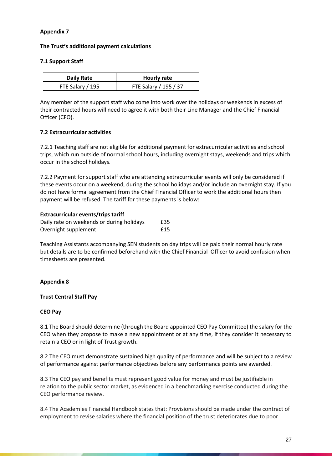#### **The Trust's additional payment calculations**

### **7.1 Support Staff**

| <b>Daily Rate</b> | <b>Hourly rate</b>    |
|-------------------|-----------------------|
| FTE Salary / 195  | FTE Salary / 195 / 37 |

Any member of the support staff who come into work over the holidays or weekends in excess of their contracted hours will need to agree it with both their Line Manager and the Chief Financial Officer (CFO).

### **7.2 Extracurricular activities**

7.2.1 Teaching staff are not eligible for additional payment for extracurricular activities and school trips, which run outside of normal school hours, including overnight stays, weekends and trips which occur in the school holidays.

7.2.2 Payment for support staff who are attending extracurricular events will only be considered if these events occur on a weekend, during the school holidays and/or include an overnight stay. If you do not have formal agreement from the Chief Financial Officer to work the additional hours then payment will be refused. The tariff for these payments is below:

### **Extracurricular events/trips tariff**

| Daily rate on weekends or during holidays | £35 |
|-------------------------------------------|-----|
| Overnight supplement                      | £15 |

Teaching Assistants accompanying SEN students on day trips will be paid their normal hourly rate but details are to be confirmed beforehand with the Chief Financial Officer to avoid confusion when timesheets are presented.

# **Appendix 8**

#### **Trust Central Staff Pay**

#### **CEO Pay**

8.1 The Board should determine (through the Board appointed CEO Pay Committee) the salary for the CEO when they propose to make a new appointment or at any time, if they consider it necessary to retain a CEO or in light of Trust growth.

8.2 The CEO must demonstrate sustained high quality of performance and will be subject to a review of performance against performance objectives before any performance points are awarded.

8.3 The CEO pay and benefits must represent good value for money and must be justifiable in relation to the public sector market, as evidenced in a benchmarking exercise conducted during the CEO performance review.

8.4 The Academies Financial Handbook states that: Provisions should be made under the contract of employment to revise salaries where the financial position of the trust deteriorates due to poor